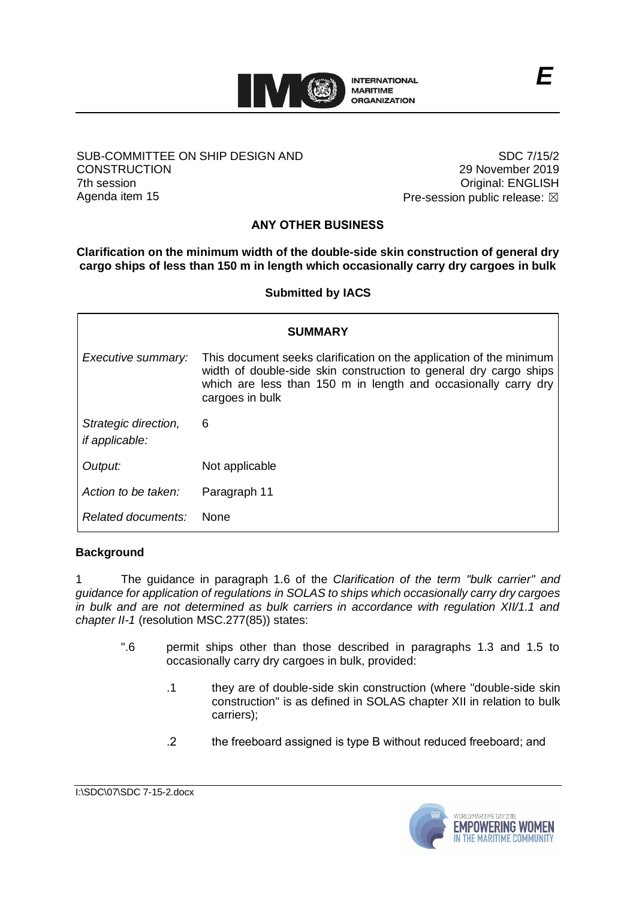

### SUB-COMMITTEE ON SHIP DESIGN AND **CONSTRUCTION** 7th session Agenda item 15

SDC 7/15/2 29 November 2019 Original: ENGLISH Pre-session public release:  $\boxtimes$ 

# **ANY OTHER BUSINESS**

**Clarification on the minimum width of the double-side skin construction of general dry cargo ships of less than 150 m in length which occasionally carry dry cargoes in bulk**

**Submitted by IACS**

|                                               | <b>SUMMARY</b>                                                                                                                                                                                                                |
|-----------------------------------------------|-------------------------------------------------------------------------------------------------------------------------------------------------------------------------------------------------------------------------------|
| Executive summary:                            | This document seeks clarification on the application of the minimum<br>width of double-side skin construction to general dry cargo ships<br>which are less than 150 m in length and occasionally carry dry<br>cargoes in bulk |
| Strategic direction,<br><i>if applicable:</i> | 6                                                                                                                                                                                                                             |
| Output:                                       | Not applicable                                                                                                                                                                                                                |
| Action to be taken:                           | Paragraph 11                                                                                                                                                                                                                  |
| Related documents:                            | <b>None</b>                                                                                                                                                                                                                   |

## **Background**

1 The guidance in paragraph 1.6 of the *Clarification of the term "bulk carrier" and guidance for application of regulations in SOLAS to ships which occasionally carry dry cargoes in bulk and are not determined as bulk carriers in accordance with regulation XII/1.1 and chapter II-1* (resolution MSC.277(85)) states:

- ".6 permit ships other than those described in paragraphs 1.3 and 1.5 to occasionally carry dry cargoes in bulk, provided:
	- .1 they are of double-side skin construction (where "double-side skin construction" is as defined in SOLAS chapter XII in relation to bulk carriers);
	- .2 the freeboard assigned is type B without reduced freeboard; and

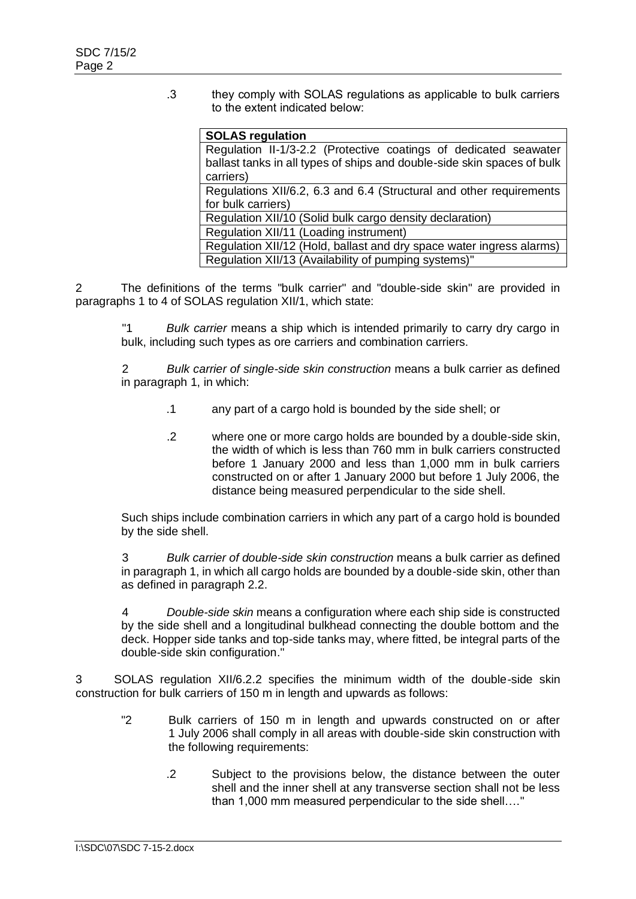.3 they comply with SOLAS regulations as applicable to bulk carriers to the extent indicated below:

| <b>SOLAS regulation</b>                                                 |
|-------------------------------------------------------------------------|
| Regulation II-1/3-2.2 (Protective coatings of dedicated seawater        |
| ballast tanks in all types of ships and double-side skin spaces of bulk |
| carriers)                                                               |
| Regulations XII/6.2, 6.3 and 6.4 (Structural and other requirements     |
| for bulk carriers)                                                      |
| Regulation XII/10 (Solid bulk cargo density declaration)                |
| Regulation XII/11 (Loading instrument)                                  |
| Regulation XII/12 (Hold, ballast and dry space water ingress alarms)    |
| Regulation XII/13 (Availability of pumping systems)"                    |

2 The definitions of the terms "bulk carrier" and "double-side skin" are provided in paragraphs 1 to 4 of SOLAS regulation XII/1, which state:

"1 *Bulk carrier* means a ship which is intended primarily to carry dry cargo in bulk, including such types as ore carriers and combination carriers.

2 *Bulk carrier of single-side skin construction* means a bulk carrier as defined in paragraph 1, in which:

- .1 any part of a cargo hold is bounded by the side shell; or
- .2 where one or more cargo holds are bounded by a double-side skin, the width of which is less than 760 mm in bulk carriers constructed before 1 January 2000 and less than 1,000 mm in bulk carriers constructed on or after 1 January 2000 but before 1 July 2006, the distance being measured perpendicular to the side shell.

Such ships include combination carriers in which any part of a cargo hold is bounded by the side shell.

3 *Bulk carrier of double-side skin construction* means a bulk carrier as defined in paragraph 1, in which all cargo holds are bounded by a double-side skin, other than as defined in paragraph 2.2.

4 *Double-side skin* means a configuration where each ship side is constructed by the side shell and a longitudinal bulkhead connecting the double bottom and the deck. Hopper side tanks and top-side tanks may, where fitted, be integral parts of the double-side skin configuration."

3 SOLAS regulation XII/6.2.2 specifies the minimum width of the double-side skin construction for bulk carriers of 150 m in length and upwards as follows:

- "2 Bulk carriers of 150 m in length and upwards constructed on or after 1 July 2006 shall comply in all areas with double-side skin construction with the following requirements:
	- .2 Subject to the provisions below, the distance between the outer shell and the inner shell at any transverse section shall not be less than 1,000 mm measured perpendicular to the side shell…."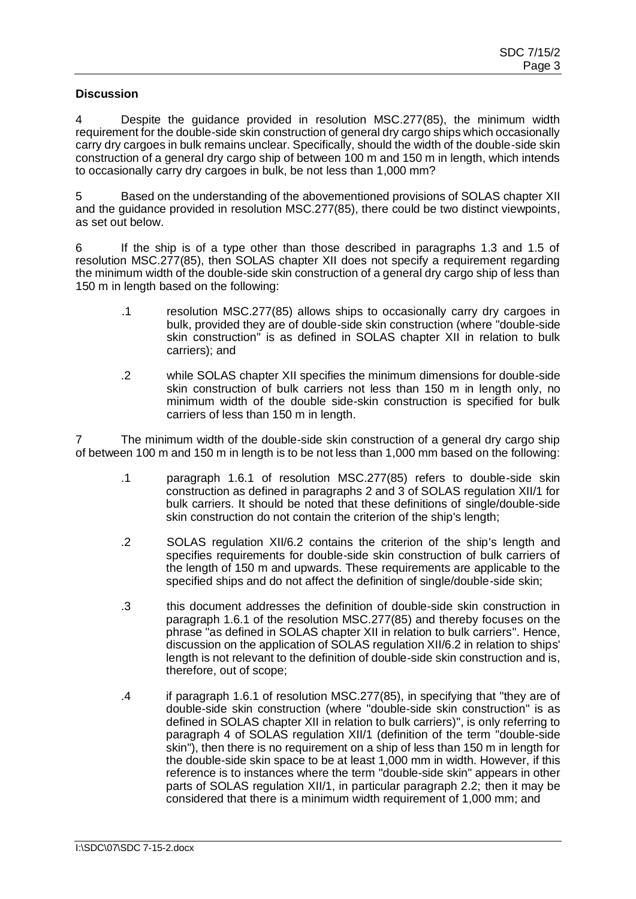#### **Discussion**

4 Despite the guidance provided in resolution MSC.277(85), the minimum width requirement for the double-side skin construction of general dry cargo ships which occasionally carry dry cargoes in bulk remains unclear. Specifically, should the width of the double-side skin construction of a general dry cargo ship of between 100 m and 150 m in length, which intends to occasionally carry dry cargoes in bulk, be not less than 1,000 mm?

5 Based on the understanding of the abovementioned provisions of SOLAS chapter XII and the guidance provided in resolution MSC.277(85), there could be two distinct viewpoints, as set out below.

6 If the ship is of a type other than those described in paragraphs 1.3 and 1.5 of resolution MSC.277(85), then SOLAS chapter XII does not specify a requirement regarding the minimum width of the double-side skin construction of a general dry cargo ship of less than 150 m in length based on the following:

- .1 resolution MSC.277(85) allows ships to occasionally carry dry cargoes in bulk, provided they are of double-side skin construction (where "double-side skin construction" is as defined in SOLAS chapter XII in relation to bulk carriers); and
- .2 while SOLAS chapter XII specifies the minimum dimensions for double-side skin construction of bulk carriers not less than 150 m in length only, no minimum width of the double side-skin construction is specified for bulk carriers of less than 150 m in length.

7 The minimum width of the double-side skin construction of a general dry cargo ship of between 100 m and 150 m in length is to be not less than 1,000 mm based on the following:

- .1 paragraph 1.6.1 of resolution MSC.277(85) refers to double-side skin construction as defined in paragraphs 2 and 3 of SOLAS regulation XII/1 for bulk carriers. It should be noted that these definitions of single/double-side skin construction do not contain the criterion of the ship's length;
- .2 SOLAS regulation XII/6.2 contains the criterion of the ship's length and specifies requirements for double-side skin construction of bulk carriers of the length of 150 m and upwards. These requirements are applicable to the specified ships and do not affect the definition of single/double-side skin;
- .3 this document addresses the definition of double-side skin construction in paragraph 1.6.1 of the resolution MSC.277(85) and thereby focuses on the phrase "as defined in SOLAS chapter XII in relation to bulk carriers". Hence, discussion on the application of SOLAS regulation XII/6.2 in relation to ships' length is not relevant to the definition of double-side skin construction and is, therefore, out of scope;
- .4 if paragraph 1.6.1 of resolution MSC.277(85), in specifying that "they are of double-side skin construction (where "double-side skin construction" is as defined in SOLAS chapter XII in relation to bulk carriers)", is only referring to paragraph 4 of SOLAS regulation XII/1 (definition of the term "double-side skin"), then there is no requirement on a ship of less than 150 m in length for the double-side skin space to be at least 1,000 mm in width. However, if this reference is to instances where the term "double-side skin" appears in other parts of SOLAS regulation XII/1, in particular paragraph 2.2; then it may be considered that there is a minimum width requirement of 1,000 mm; and